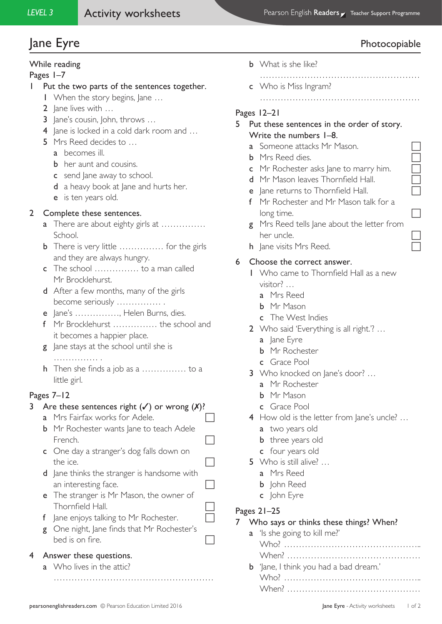# ane Eyre Photocopiable Photocopiable

# While reading

Pages 1–7

- 1 Put the two parts of the sentences together.
	- 1 When the story begins, Jane …
	- 2 Jane lives with …
	- 3 Jane's cousin, John, throws ...
	- 4 Jane is locked in a cold dark room and ...
	- 5 Mrs Reed decides to …
		- a becomes ill.
		- **b** her aunt and cousins.
		- c send lane away to school.
		- d a heavy book at Jane and hurts her.
		- e is ten years old.

# 2 Complete these sentences.

- a There are about eighty girls at .............. School.
- **b** There is very little ................ for the girls and they are always hungry.
- c The school …………… to a man called Mr Brocklehurst.
- d After a few months, many of the girls become seriously …………… .
- e Jane's ……………, Helen Burns, dies.
- f Mr Brocklehurst …………… the school and it becomes a happier place.
- g Jane stays at the school until she is ………………
- h Then she finds a job as a …………… to a little girl.

# Pages 7–12

## 3 Are these sentences right  $(\checkmark)$  or wrong  $(\checkmark)$ ?

- **a** Mrs Fairfax works for Adele.  $\Box$
- **b** Mr Rochester wants Jane to teach Adele French.
- c One day a stranger's dog falls down on the ice.
- d Jane thinks the stranger is handsome with an interesting face.  $\Box$
- e The stranger is Mr Mason, the owner of Thornfield Hall.
- f Jane enjoys talking to Mr Rochester.
- g One night, Jane finds that Mr Rochester's bed is on fire.

………………………………………………

## 4 Answer these questions.

a Who lives in the attic?

- **b** What is she like?
- ……………………………………………… c Who is Miss Ingram?
	- ………………………………………………

# Pages 12–21

- 5 Put these sentences in the order of story. Write the numbers 1–8.
	- a Someone attacks Mr Mason.
	- **b** Mrs Reed dies.
	- c Mr Rochester asks Jane to marry him.
	- d Mr Mason leaves Thornfield Hall.
	- e Jane returns to Thornfield Hall.
	- f Mr Rochester and Mr Mason talk for a long time.
	- g Mrs Reed tells Jane about the letter from her uncle.
	- h Jane visits Mrs Reed.

# 6 Choose the correct answer.

- 1 Who came to Thornfield Hall as a new visitor? …
	- a Mrs Reed
	- **b** Mr Mason
	- c The West Indies
- 2 Who said 'Everything is all right.'? …
	- a Jane Eyre
	- b Mr Rochester
	- c Grace Pool
- 3 Who knocked on Jane's door? …
	- a Mr Rochester
	- **b** Mr Mason
	- c Grace Pool
- 4 How old is the letter from Jane's uncle? ...
	- a two years old
	- **b** three years old
	- c four years old
- 5 Who is still alive? ...
	- a Mrs Reed
	- **b** John Reed
	- c John Eyre

## Pages 21–25

7 Who says or thinks these things? When?

| a 'ls she going to kill me?'                  |
|-----------------------------------------------|
|                                               |
|                                               |
| <b>b</b> 'Jane, I think you had a bad dream.' |
|                                               |
|                                               |
|                                               |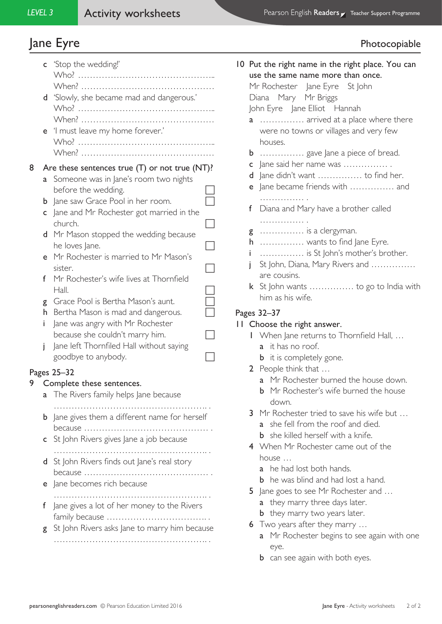# Jane Eyre **Photocopiable**

|   |   | <b>c</b> 'Stop the wedding!'                        |   |
|---|---|-----------------------------------------------------|---|
|   |   |                                                     |   |
|   | d | 'Slowly, she became mad and dangerous.'             |   |
|   |   |                                                     |   |
|   |   |                                                     |   |
|   | e | 'I must leave my home forever.'                     |   |
|   |   |                                                     |   |
|   |   |                                                     |   |
| 8 |   | Are these sentences true $(T)$ or not true $(NT)$ ? |   |
|   | a | Someone was in Jane's room two nights               |   |
|   |   | before the wedding.                                 |   |
|   | b | Jane saw Grace Pool in her room.                    |   |
|   | C | Jane and Mr Rochester got married in the            |   |
|   |   | church.                                             |   |
|   | d | Mr Mason stopped the wedding because                |   |
|   |   | he loves Jane.                                      |   |
|   | e | Mr Rochester is married to Mr Mason's               |   |
|   | f | sister.<br>Mr Rochester's wife lives at Thornfield  |   |
|   |   | Hall.                                               |   |
|   | g | Grace Pool is Bertha Mason's aunt.                  | Ξ |
|   | h | Bertha Mason is mad and dangerous.                  |   |
|   | i | Jane was angry with Mr Rochester                    |   |
|   |   | because she couldn't marry him.                     |   |
|   | i | Jane left Thornfiled Hall without saying            |   |
|   |   | goodbye to anybody.                                 |   |
|   |   | Pages 25-32                                         |   |
|   |   | Complete these sentences.                           |   |
|   | a | The Rivers family helps Jane because                |   |
|   |   |                                                     |   |
|   | b | Jane gives them a different name for herself        |   |
|   |   | because                                             |   |
|   | c | St John Rivers gives Jane a job because             |   |
|   | d | St John Rivers finds out Jane's real story          |   |
|   |   | because                                             |   |
|   | e | Jane becomes rich because                           |   |
|   |   |                                                     |   |

- f Jane gives a lot of her money to the Rivers family because ……………………………. .
- **g** St John Rivers asks Jane to marry him because ……………………………………………. .

|                                         | 10 Put the right name in the right place. You can |  |  |  |  |
|-----------------------------------------|---------------------------------------------------|--|--|--|--|
| use the same name more than once.       |                                                   |  |  |  |  |
| Mr Rochester Jane Eyre St John          |                                                   |  |  |  |  |
| Diana Mary Mr Briggs                    |                                                   |  |  |  |  |
| John Eyre Jane Elliot Hannah            |                                                   |  |  |  |  |
| <b>a</b> arrived at a place where there |                                                   |  |  |  |  |
|                                         | were no towns or villages and very few            |  |  |  |  |
|                                         | houses.                                           |  |  |  |  |
|                                         | <b>b</b> gave Jane a piece of bread.              |  |  |  |  |
|                                         | c $ $ ane said her name was                       |  |  |  |  |
| d                                       | Jane didn't want  to find her.                    |  |  |  |  |
|                                         | e Jane became friends with  and                   |  |  |  |  |
|                                         | .                                                 |  |  |  |  |
|                                         | f Diana and Mary have a brother called            |  |  |  |  |
|                                         | .                                                 |  |  |  |  |
|                                         | $g$ is a clergyman.                               |  |  |  |  |
|                                         | $h$ wants to find Jane Eyre.                      |  |  |  |  |
|                                         | i  is St John's mother's brother.                 |  |  |  |  |
| İ                                       | St John, Diana, Mary Rivers and                   |  |  |  |  |
|                                         | are cousins.                                      |  |  |  |  |
|                                         | k St John wants  to go to India with              |  |  |  |  |
|                                         | him as his wife.                                  |  |  |  |  |
|                                         |                                                   |  |  |  |  |
|                                         | Pages 32-37                                       |  |  |  |  |

# 11 Choose the right answer.

## 1 When Jane returns to Thornfield Hall, … a it has no roof.

- **b** it is completely gone.
- 2 People think that …
	- a Mr Rochester burned the house down.
	- **b** Mr Rochester's wife burned the house down.
- 3 Mr Rochester tried to save his wife but ...
	- a she fell from the roof and died.
	- **b** she killed herself with a knife.
- 4 When Mr Rochester came out of the house …
	- a he had lost both hands.
	- **b** he was blind and had lost a hand.
- 5 Jane goes to see Mr Rochester and ...
	- a they marry three days later.
	- **b** they marry two years later.
- 6 Two years after they marry …
	- a Mr Rochester begins to see again with one eye.
	- **b** can see again with both eyes.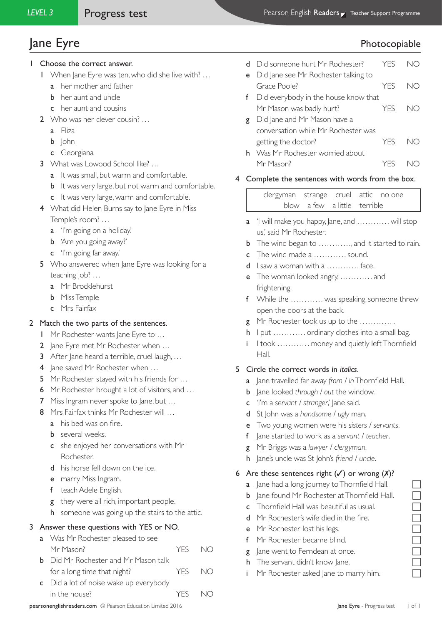# ane Eyre Photocopiable Photocopiable

- 1 Choose the correct answer.
	- 1 When Jane Eyre was ten, who did she live with? …
		- a her mother and father
		- **b** her aunt and uncle
		- c her aunt and cousins
	- 2 Who was her clever cousin? …
		- a Eliza
		- **b** John
		- c Georgiana
	- 3 What was Lowood School like? ...
		- a It was small, but warm and comfortable.
		- **b** It was very large, but not warm and comfortable.
		- c It was very large, warm and comfortable.
	- 4 What did Helen Burns say to lane Eyre in Miss Temple's room? …
		- a 'I'm going on a holiday.'
		- **b** 'Are you going away?'
		- c 'I'm going far away.'
	- 5 Who answered when Jane Eyre was looking for a teaching job? …
		- a Mr Brocklehurst
		- b Miss Temple
		- c Mrs Fairfax

## 2 Match the two parts of the sentences.

- 1 Mr Rochester wants Jane Eyre to ...
- 2 Jane Eyre met Mr Rochester when ...
- 3 After Jane heard a terrible, cruel laugh, …
- 4 Jane saved Mr Rochester when ...
- 5 Mr Rochester stayed with his friends for ...
- 6 Mr Rochester brought a lot of visitors, and ...
- 7 Miss Ingram never spoke to Jane, but ...
- 8 Mrs Fairfax thinks Mr Rochester will ...
	- a his bed was on fire.
	- **b** several weeks.
	- c she enjoyed her conversations with Mr Rochester.
	- d his horse fell down on the ice.
	- e marry Miss Ingram.
	- f teach Adele English.
	- g they were all rich, important people.
	- h someone was going up the stairs to the attic.

## 3 Answer these questions with YES or NO.

- a Was Mr Rochester pleased to see Mr Mason? YES NO
- **b** Did Mr Rochester and Mr Mason talk for a long time that night? YES NO
- c Did a lot of noise wake up everybody in the house? YES NO
- d Did someone hurt Mr Rochester? YES NO e Did Jane see Mr Rochester talking to Grace Poole? The MO f Did everybody in the house know that Mr Mason was badly hurt? YES NO g Did Jane and Mr Mason have a conversation while Mr Rochester was
- getting the doctor? YES NO h Was Mr Rochester worried about
	- Mr Mason? YES NO

#### 4 Complete the sentences with words from the box.

clergyman strange cruel attic no one blow a few a little terrible

- a 'I will make you happy, Jane, and ………… will stop us,' said Mr Rochester.
- **b** The wind began to ..........., and it started to rain.
- c The wind made a ………… sound.
- d I saw a woman with a ………… face.
- e The woman looked angry, ………… and frightening.
- f While the ………… was speaking, someone threw open the doors at the back.
- g Mr Rochester took us up to the ………… .
- h I put ………… ordinary clothes into a small bag.
- i I took ………… money and quietly left Thornfield Hall.

#### 5 Circle the correct words in *italics*.

- a Jane travelled far away *from / in* Thornfield Hall.
- b Jane looked *through / out* the window.
- c 'I'm a *servant / stranger*,' Jane said.
- d St John was a *handsome / ugly* man.
- e Two young women were his *sisters / servants*.
- f Jane started to work as a *servant / teacher*.
- g Mr Briggs was a *lawyer / clergyman*.
- h Jane's uncle was St John's *friend / uncle*.

## 6 Are these sentences right  $(\checkmark)$  or wrong  $(\checkmark)$ ?

- a Jane had a long journey to Thornfield Hall.
- **b** Jane found Mr Rochester at Thornfield Hall.
- **c** Thornfield Hall was beautiful as usual.
- d Mr Rochester's wife died in the fire.
- e Mr Rochester lost his legs.
- f Mr Rochester became blind.
- $g$  Jane went to Ferndean at once.
- h The servant didn't know Jane.
- i Mr Rochester asked Jane to marry him.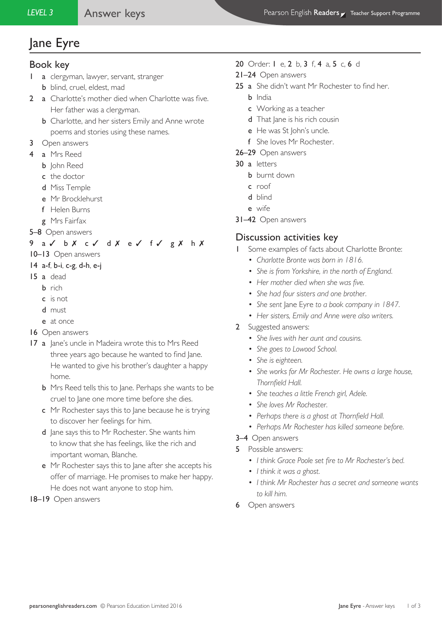# Jane Eyre

## Book key

- 1 a clergyman, lawyer, servant, stranger b blind, cruel, eldest, mad
- 2 a Charlotte's mother died when Charlotte was five. Her father was a clergyman.
	- **b** Charlotte, and her sisters Emily and Anne wrote poems and stories using these names.
- 3 Open answers
- 4 a Mrs Reed
	- **b** John Reed
	- c the doctor
	- d Miss Temple
	- e Mr Brocklehurst
	- f Helen Burns
	- g Mrs Fairfax
- 5–8 Open answers

## 9 a ✓ b X c ✓ d X e ✓ f ✓ g X h X

- 10–13 Open answers
- 14 a-f, b-i, c-g, d-h, e-j
- 15 a dead
	- b rich
	- c is not
	- d must
	- e at once
- 16 Open answers
- 17 a Jane's uncle in Madeira wrote this to Mrs Reed three years ago because he wanted to find Jane. He wanted to give his brother's daughter a happy home.
	- b Mrs Reed tells this to Jane. Perhaps she wants to be cruel to Jane one more time before she dies.
	- c Mr Rochester says this to Jane because he is trying to discover her feelings for him.
	- d Jane says this to Mr Rochester. She wants him to know that she has feelings, like the rich and important woman, Blanche.
	- e Mr Rochester says this to Jane after she accepts his offer of marriage. He promises to make her happy. He does not want anyone to stop him.

## 18–19 Open answers

## 20 Order: I e, 2 b, 3 f, 4 a, 5 c, 6 d

- 21–24 Open answers
- 25 a She didn't want Mr Rochester to find her.
	- **b** India
		- c Working as a teacher
		- d That Jane is his rich cousin
	- e He was St John's uncle.
	- f She loves Mr Rochester.
- 26–29 Open answers
- 30 a letters
	- **b** burnt down
	- c roof
	- d blind
	- e wife
- 31–42 Open answers

# Discussion activities key

- Some examples of facts about Charlotte Bronte:
	- *• Charlotte Bronte was born in 1816.*
	- *• She is from Yorkshire, in the north of England.*
	- *• Her mother died when she was five.*
	- *• She had four sisters and one brother.*
	- *• She sent* Jane Eyre *to a book company in 1847.*
	- *• Her sisters, Emily and Anne were also writers.*
- 2 Suggested answers:
	- *• She lives with her aunt and cousins.*
	- *• She goes to Lowood School.*
	- *• She is eighteen.*
	- *• She works for Mr Rochester. He owns a large house, Thornfield Hall.*
	- *• She teaches a little French girl, Adele.*
	- *• She loves Mr Rochester.*
	- *• Perhaps there is a ghost at Thornfield Hall.*
	- *• Perhaps Mr Rochester has killed someone before.*
- 3–4 Open answers
- 5 Possible answers:
	- *• I think Grace Poole set fire to Mr Rochester's bed.*
	- *• I think it was a ghost.*
	- *• I think Mr Rochester has a secret and someone wants to kill him.*
- 6 Open answers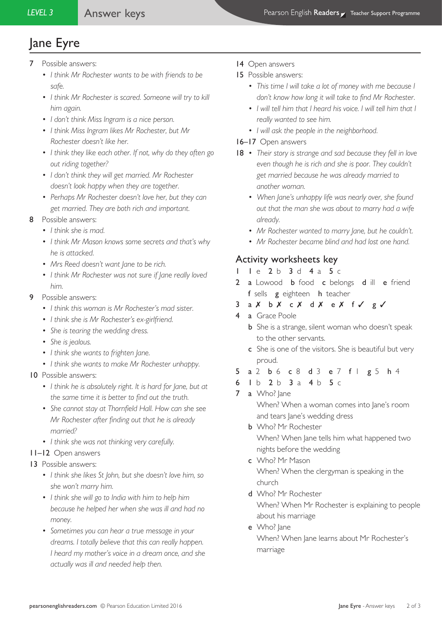# Jane Eyre

- 7 Possible answers:
	- *• I think Mr Rochester wants to be with friends to be safe.*
	- *• I think Mr Rochester is scared. Someone will try to kill him again.*
	- *• I don't think Miss Ingram is a nice person.*
	- *• I think Miss Ingram likes Mr Rochester, but Mr Rochester doesn't like her.*
	- *• I think they like each other. If not, why do they often go out riding together?*
	- *• I don't think they will get married. Mr Rochester doesn't look happy when they are together.*
	- *• Perhaps Mr Rochester doesn't love her, but they can get married. They are both rich and important.*
- 8 Possible answers:
	- *• I think she is mad.*
	- *• I think Mr Mason knows some secrets and that's why he is attacked.*
	- *• Mrs Reed doesn't want Jane to be rich.*
	- *• I think Mr Rochester was not sure if Jane really loved him.*
- 9 Possible answers:
	- *• I think this woman is Mr Rochester's mad sister.*
	- *• I think she is Mr Rochester's ex-girlfriend.*
	- *• She is tearing the wedding dress.*
	- *• She is jealous.*
	- *• I think she wants to frighten Jane.*
	- *• I think she wants to make Mr Rochester unhappy.*

## 10 Possible answers:

- *• I think he is absolutely right. It is hard for Jane, but at the same time it is better to find out the truth.*
- *• She cannot stay at Thornfield Hall. How can she see Mr Rochester after finding out that he is already married?*
- *• I think she was not thinking very carefully.*

## 11–12 Open answers

- 13 Possible answers:
	- *• I think she likes St John, but she doesn't love him, so she won't marry him.*
	- *• I think she will go to India with him to help him because he helped her when she was ill and had no money.*
	- *• Sometimes you can hear a true message in your dreams. I totally believe that this can really happen. I heard my mother's voice in a dream once, and she actually was ill and needed help then.*
- 14 Open answers
- 15 Possible answers:
	- *• This time I will take a lot of money with me because I don't know how long it will take to find Mr Rochester.*
	- *• I will tell him that I heard his voice. I will tell him that I really wanted to see him.*
	- *• I will ask the people in the neighborhood.*

#### 16–17 Open answers

- 18 *• Their story is strange and sad because they fell in love even though he is rich and she is poor. They couldn't get married because he was already married to another woman.*
	- *• When Jane's unhappy life was nearly over, she found out that the man she was about to marry had a wife already.*
	- *• Mr Rochester wanted to marry Jane, but he couldn't.*
	- *• Mr Rochester became blind and had lost one hand.*

# Activity worksheets key

- 1 le 2 b 3 d 4 a 5 c
- 2 a Lowood **b** food **c** belongs **d** ill **e** friend f sells g eighteen h teacher
- $3$  a  $X$  b  $X$  c  $X$  d  $X$  e  $X$  f  $\checkmark$  g  $\checkmark$
- 4 a Grace Poole
	- **b** She is a strange, silent woman who doesn't speak to the other servants.
	- c She is one of the visitors. She is beautiful but very proud.
- 5 a 2 b 6 c 8 d 3 e 7 f | g 5 h 4
- 6 1 b 2 b 3 a 4 b 5 c
- 7 a Who? lane

 When? When a woman comes into Jane's room and tears Jane's wedding dress

- b Who? Mr Rochester When? When Jane tells him what happened two nights before the wedding
- c Who? Mr Mason When? When the clergyman is speaking in the church
- d Who? Mr Rochester When? When Mr Rochester is explaining to people about his marriage
- e Who? lane When? When Jane learns about Mr Rochester's marriage